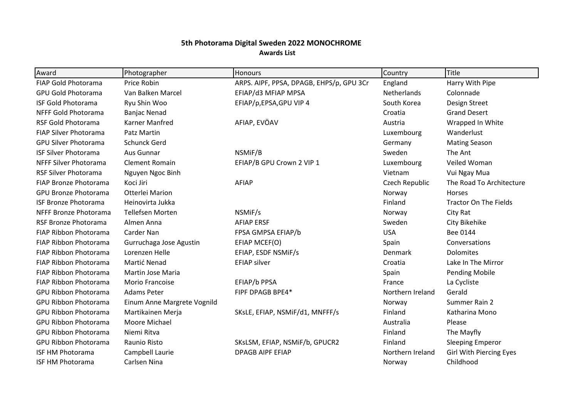## **5th Photorama Digital Sweden 2022 MONOCHROME Awards List**

| Award                        | Photographer                | <b>Honours</b>                           | Country            | Title                          |
|------------------------------|-----------------------------|------------------------------------------|--------------------|--------------------------------|
| FIAP Gold Photorama          | Price Robin                 | ARPS. AIPF, PPSA, DPAGB, EHPS/p, GPU 3Cr | England            | Harry With Pipe                |
| <b>GPU Gold Photorama</b>    | Van Balken Marcel           | EFIAP/d3 MFIAP MPSA                      | <b>Netherlands</b> | Colonnade                      |
| <b>ISF Gold Photorama</b>    | Ryu Shin Woo                | EFIAP/p,EPSA,GPU VIP 4                   | South Korea        | Design Street                  |
| NFFF Gold Photorama          | <b>Banjac Nenad</b>         |                                          | Croatia            | <b>Grand Desert</b>            |
| RSF Gold Photorama           | Karner Manfred              | AFIAP, EVÖAV                             | Austria            | Wrapped In White               |
| FIAP Silver Photorama        | Patz Martin                 |                                          | Luxembourg         | Wanderlust                     |
| <b>GPU Silver Photorama</b>  | <b>Schunck Gerd</b>         |                                          | Germany            | <b>Mating Season</b>           |
| <b>ISF Silver Photorama</b>  | Aus Gunnar                  | NSMIF/B                                  | Sweden             | The Ant                        |
| <b>NFFF Silver Photorama</b> | <b>Clement Romain</b>       | EFIAP/B GPU Crown 2 VIP 1                | Luxembourg         | Veiled Woman                   |
| <b>RSF Silver Photorama</b>  | Nguyen Ngoc Binh            |                                          | Vietnam            | Vui Ngay Mua                   |
| FIAP Bronze Photorama        | Koci Jiri                   | AFIAP                                    | Czech Republic     | The Road To Architecture       |
| <b>GPU Bronze Photorama</b>  | Otterlei Marion             |                                          | Norway             | Horses                         |
| <b>ISF Bronze Photorama</b>  | Heinovirta Jukka            |                                          | Finland            | <b>Tractor On The Fields</b>   |
| NFFF Bronze Photorama        | <b>Tellefsen Morten</b>     | NSMIF/s                                  | Norway             | City Rat                       |
| RSF Bronze Photorama         | Almen Anna                  | <b>AFIAP ERSF</b>                        | Sweden             | City Bikehike                  |
| FIAP Ribbon Photorama        | Carder Nan                  | FPSA GMPSA EFIAP/b                       | <b>USA</b>         | Bee 0144                       |
| FIAP Ribbon Photorama        | Gurruchaga Jose Agustin     | EFIAP MCEF(O)                            | Spain              | Conversations                  |
| <b>FIAP Ribbon Photorama</b> | Lorenzen Helle              | EFIAP, ESDF NSMIF/s                      | Denmark            | <b>Dolomites</b>               |
| <b>FIAP Ribbon Photorama</b> | Martić Nenad                | <b>EFIAP silver</b>                      | Croatia            | Lake In The Mirror             |
| <b>FIAP Ribbon Photorama</b> | Martin Jose Maria           |                                          | Spain              | <b>Pending Mobile</b>          |
| FIAP Ribbon Photorama        | <b>Morio Francoise</b>      | EFIAP/b PPSA                             | France             | La Cycliste                    |
| <b>GPU Ribbon Photorama</b>  | <b>Adams Peter</b>          | FIPF DPAGB BPE4*                         | Northern Ireland   | Gerald                         |
| <b>GPU Ribbon Photorama</b>  | Einum Anne Margrete Vognild |                                          | Norway             | Summer Rain 2                  |
| <b>GPU Ribbon Photorama</b>  | Martikainen Merja           | SKsLE, EFIAP, NSMIF/d1, MNFFF/s          | Finland            | Katharina Mono                 |
| <b>GPU Ribbon Photorama</b>  | Moore Michael               |                                          | Australia          | Please                         |
| <b>GPU Ribbon Photorama</b>  | Niemi Ritva                 |                                          | Finland            | The Mayfly                     |
| <b>GPU Ribbon Photorama</b>  | Raunio Risto                | SKsLSM, EFIAP, NSMiF/b, GPUCR2           | Finland            | <b>Sleeping Emperor</b>        |
| <b>ISF HM Photorama</b>      | Campbell Laurie             | <b>DPAGB AIPF EFIAP</b>                  | Northern Ireland   | <b>Girl With Piercing Eyes</b> |
| <b>ISF HM Photorama</b>      | Carlsen Nina                |                                          | Norway             | Childhood                      |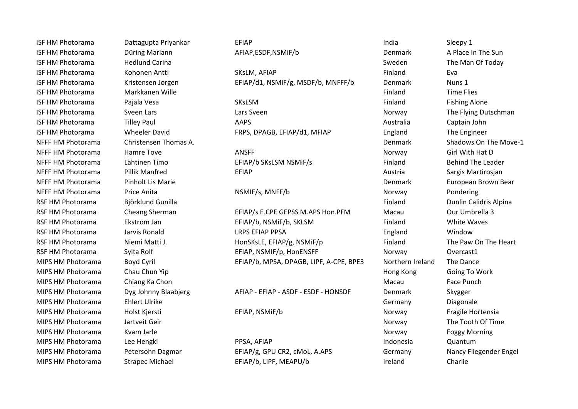ISF HM Photorama Cattagupta Priyankar CEFIAP India India Sleepy 1 ISF HM Photorama Kohonen Antti SKsLM, AFIAP TEAN PHOTORATIC RAM Eva ISF HM Photorama Kristensen Jorgen EFIAP/d1, NSMiF/g, MSDF/b, MNFFF/b Denmark Nuns 1 ISF HM Photorama Markkanen Wille **Music Accord Contract Contract Contract Contract Contract Contract Contract Contract Contract Contract Contract Contract Contract Contract Contract Contract Contract Contract Contract Cont** ISF HM Photorama Tilley Paul AAPS Australia Captain John

RSF HM Photorama Cheang Sherman EFIAP/s E.CPE GEPSS M.APS Hon.PFM Macau Our Umbrella 3 RSF HM Photorama Ekstrom Jan ERST EFIAP/b, NSMIF/b, SKLSM Finland Finland White Waves RSF HM Photorama and Jarvis Ronald and LRPS EFIAP PPSA **England** England Window RSF HM Photorama Niemi Matti J. HonSKsLE, EFIAP/g, NSMiF/p Finland The Paw On The Heart RSF HM Photorama Sylta Rolf **EFIAP, NSMIF/p, HonENSFF** Norway Overcast1 MIPS HM Photorama Boyd Cyril EFIAP/b, MPSA, DPAGB, LIPF, A-CPE, BPE3 Northern Ireland The Dance

MIPS HM Photorama Dyg Johnny Blaabjerg AFIAP - EFIAP - ASDF - ESDF - HONSDF Denmark Skygger

MIPS HM Photorama Lee Hengki New York AFIAP New York Controller and Duantum Cuantum MIPS HM Photorama Strapec Michael **EFIAP/b, LIPF, MEAPU/b** Ineland Ireland Charlie

ISF HM Photorama Düring Mariann Denis AFIAP,ESDF,NSMIF/b Denmark A Place In The Sun ISF HM Photorama and Hedlund Carina and Sweden Sweden The Man Of Today ISF HM Photorama Pajala Vesa SKsLSM Finland Fishing Alone ISF HM Photorama Sveen Lars Sveen Lars Sveen Lars Sveen Norway The Flying Dutschman ISF HM Photorama Wheeler David FRPS, DPAGB, EFIAP/d1, MFIAP England The Engineer NFFF HM Photorama Christensen Thomas A. New York Shadows On The Move-1 NFFF HM Photorama Mamre Tove Norway ANSFF Norway Girl With Hat D NFFF HM Photorama Lähtinen Timo EFIAP/b SKsLSM NSMiF/s Finland Finland Behind The Leader NFFF HM Photorama Pillik Manfred EFIAP Austria Sargis Martirosjan NFFF HM Photorama Pinholt Lis Marie Denmark European Brown Bear NFFF HM Photorama Price Anita Norman Anital NSMIF/s, MNFF/b Norway Norway Pondering RSF HM Photorama Björklund Gunilla Finland Dunlin Calidris Alpina MIPS HM Photorama Chau Chun Yip **Hong Kong Going To Work** Coing To Work MIPS HM Photorama Chiang Ka Chon **Macau** Face Punch Chiang Ka Chon Macau Face Punch MIPS HM Photorama Ehlert Ulrike Germany Diagonale Germany Diagonale MIPS HM Photorama Holst Kiersti Norway EFIAP, NSMIF/b Norway Norway Fragile Hortensia MIPS HM Photorama and artveit Geir normal control of Time of The Tooth Of Time Norway The Tooth Of Time MIPS HM Photorama Kvam Jarle Norway Kvam Jarle Norway Reggy Morning Norway Reggy Morning MIPS HM Photorama Petersohn Dagmar EFIAP/g, GPU CR2, cMoL, A.APS Germany Nancy Fliegender Engel